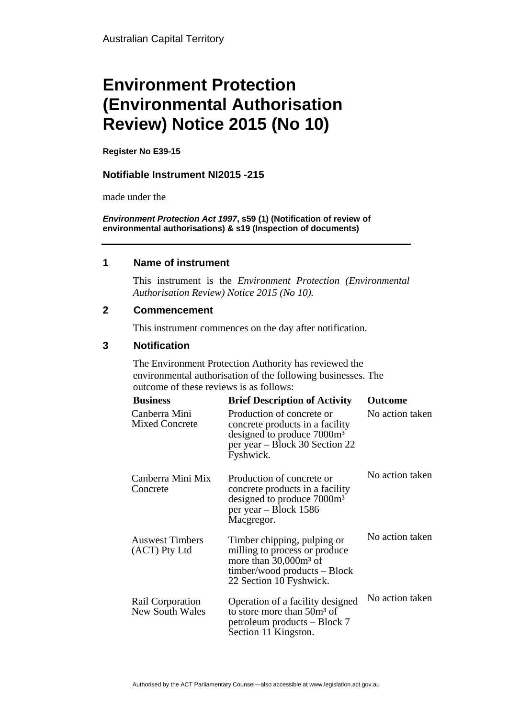# **Environment Protection (Environmental Authorisation Review) Notice 2015 (No 10)**

**Register No E39-15**

## **Notifiable Instrument NI2015 -215**

made under the

*Environment Protection Act 1997***, s59 (1) (Notification of review of environmental authorisations) & s19 (Inspection of documents)**

#### **1 Name of instrument**

This instrument is the *Environment Protection (Environmental Authorisation Review) Notice 2015 (No 10).* 

#### **2 Commencement**

This instrument commences on the day after notification.

## **3 Notification**

The Environment Protection Authority has reviewed the environmental authorisation of the following businesses. The outcome of these reviews is as follows:

| <b>Business</b>                            | <b>Brief Description of Activity</b>                                                                                                                    | <b>Outcome</b>  |
|--------------------------------------------|---------------------------------------------------------------------------------------------------------------------------------------------------------|-----------------|
| Canberra Mini<br><b>Mixed Concrete</b>     | Production of concrete or<br>concrete products in a facility<br>designed to produce 7000m <sup>3</sup><br>per year – Block 30 Section 22<br>Fyshwick.   | No action taken |
| Canberra Mini Mix<br>Concrete              | Production of concrete or<br>concrete products in a facility<br>designed to produce 7000m <sup>3</sup><br>per year – Block 1586<br>Macgregor.           | No action taken |
| <b>Auswest Timbers</b><br>(ACT) Pty Ltd    | Timber chipping, pulping or<br>milling to process or produce<br>more than $30,000m^3$ of<br>$timber/wood$ products $-$ Block<br>22 Section 10 Fyshwick. | No action taken |
| Rail Corporation<br><b>New South Wales</b> | Operation of a facility designed<br>to store more than 50m <sup>3</sup> of<br>petroleum products – Block 7<br>Section 11 Kingston.                      | No action taken |